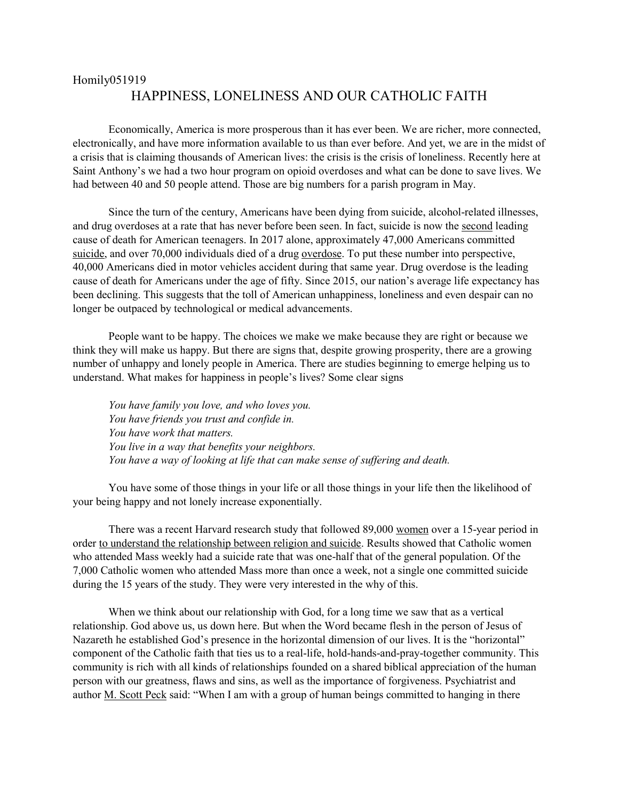## Homily051919 HAPPINESS, LONELINESS AND OUR CATHOLIC FAITH

Economically, America is more prosperous than it has ever been. We are richer, more connected, electronically, and have more information available to us than ever before. And yet, we are in the midst of a crisis that is claiming thousands of American lives: the crisis is the crisis of loneliness. Recently here at Saint Anthony's we had a two hour program on opioid overdoses and what can be done to save lives. We had between 40 and 50 people attend. Those are big numbers for a parish program in May.

Since the turn of the century, Americans have been dying from suicide, alcohol-related illnesses, and drug overdoses at a rate that has never before been seen. In fact, suicide is now the [second](https://www.cdc.gov/injury/images/lc-charts/leading_causes_of_death_by_age_group_2017_1100w850h.jpg) leading cause of death for American teenagers. In 2017 alone, approximately 47,000 Americans committed [suicide,](https://afsp.org/about-suicide/suicide-statistics/) and over 70,000 individuals died of a drug [overdose.](https://www.cdc.gov/nchs/products/databriefs/db329.htm) To put these number into perspective, 40,000 Americans died in motor vehicles accident during that same year. Drug overdose is the leading cause of death for Americans under the age of fifty. Since 2015, our nation's average life expectancy has been declining. This suggests that the toll of American unhappiness, loneliness and even despair can no longer be outpaced by technological or medical advancements.

People want to be happy. The choices we make we make because they are right or because we think they will make us happy. But there are signs that, despite growing prosperity, there are a growing number of unhappy and lonely people in America. There are studies beginning to emerge helping us to understand. What makes for happiness in people's lives? Some clear signs

*You have family you love, and who loves you. You have friends you trust and confide in. You have work that matters. You live in a way that benefits your neighbors. You have a way of looking at life that can make sense of suffering and death.*

You have some of those things in your life or all those things in your life then the likelihood of your being happy and not lonely increase exponentially.

There was a recent Harvard research [study](https://jamanetwork.com/journals/jamapsychiatry/fullarticle/2529152) that followed 89,000 women over a 15-year period in order to understand the relationship between religion and suicide. Results showed that Catholic women who attended Mass weekly had a suicide rate that was one-half that of the general population. Of the 7,000 Catholic women who attended Mass more than once a week, not a single one committed suicide during the 15 years of the study. They were very interested in the why of this.

When we think about our relationship with God, for a long time we saw that as a vertical relationship. God above us, us down here. But when the Word became flesh in the person of Jesus of Nazareth he established God's presence in the horizontal dimension of our lives. It is the "horizontal" component of the Catholic faith that ties us to a real-life, hold-hands-and-pray-together community. This community is rich with all kinds of relationships founded on a shared biblical appreciation of the human person with our greatness, flaws and sins, as well as the importance of forgiveness. Psychiatrist and author [M. Scott Peck](https://www.amazon.com/Different-Drum-Community-Making-Peace/dp/0684848589/ref=sr_1_1?s=books&ie=UTF8&qid=1287448638&sr=1-1) said: "When I am with a group of human beings committed to hanging in there